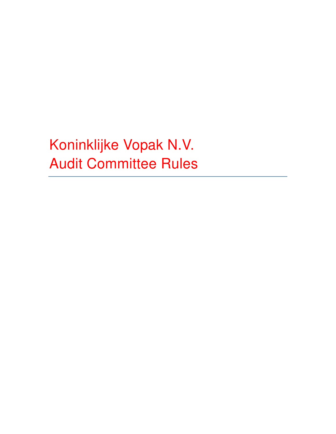Koninklijke Vopak N.V. Audit Committee Rules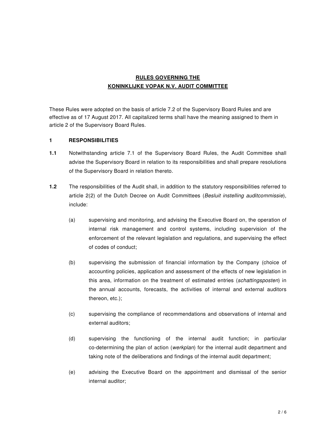# **RULES GOVERNING THE KONINKLIJKE VOPAK N.V. AUDIT COMMITTEE**

These Rules were adopted on the basis of article 7.2 of the Supervisory Board Rules and are effective as of 17 August 2017. All capitalized terms shall have the meaning assigned to them in article 2 of the Supervisory Board Rules.

### **1 RESPONSIBILITIES**

- **1.1** Notwithstanding article 7.1 of the Supervisory Board Rules, the Audit Committee shall advise the Supervisory Board in relation to its responsibilities and shall prepare resolutions of the Supervisory Board in relation thereto.
- **1.2** The responsibilities of the Audit shall, in addition to the statutory responsibilities referred to article 2(2) of the Dutch Decree on Audit Committees (Besluit instelling auditcommissie), include:
	- (a) supervising and monitoring, and advising the Executive Board on, the operation of internal risk management and control systems, including supervision of the enforcement of the relevant legislation and regulations, and supervising the effect of codes of conduct;
	- (b) supervising the submission of financial information by the Company (choice of accounting policies, application and assessment of the effects of new legislation in this area, information on the treatment of estimated entries (schattingsposten) in the annual accounts, forecasts, the activities of internal and external auditors thereon, etc.);
	- (c) supervising the compliance of recommendations and observations of internal and external auditors;
	- (d) supervising the functioning of the internal audit function; in particular co-determining the plan of action (werkplan) for the internal audit department and taking note of the deliberations and findings of the internal audit department;
	- (e) advising the Executive Board on the appointment and dismissal of the senior internal auditor;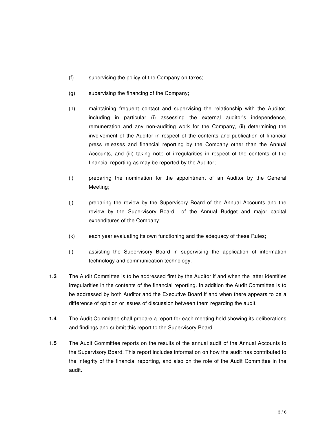- (f) supervising the policy of the Company on taxes;
- (g) supervising the financing of the Company;
- (h) maintaining frequent contact and supervising the relationship with the Auditor, including in particular (i) assessing the external auditor's independence, remuneration and any non-auditing work for the Company, (ii) determining the involvement of the Auditor in respect of the contents and publication of financial press releases and financial reporting by the Company other than the Annual Accounts, and (iii) taking note of irregularities in respect of the contents of the financial reporting as may be reported by the Auditor;
- (i) preparing the nomination for the appointment of an Auditor by the General Meeting;
- (j) preparing the review by the Supervisory Board of the Annual Accounts and the review by the Supervisory Board of the Annual Budget and major capital expenditures of the Company;
- (k) each year evaluating its own functioning and the adequacy of these Rules;
- (l) assisting the Supervisory Board in supervising the application of information technology and communication technology.
- **1.3** The Audit Committee is to be addressed first by the Auditor if and when the latter identifies irregularities in the contents of the financial reporting. In addition the Audit Committee is to be addressed by both Auditor and the Executive Board if and when there appears to be a difference of opinion or issues of discussion between them regarding the audit.
- **1.4** The Audit Committee shall prepare a report for each meeting held showing its deliberations and findings and submit this report to the Supervisory Board.
- **1.5** The Audit Committee reports on the results of the annual audit of the Annual Accounts to the Supervisory Board. This report includes information on how the audit has contributed to the integrity of the financial reporting, and also on the role of the Audit Committee in the audit.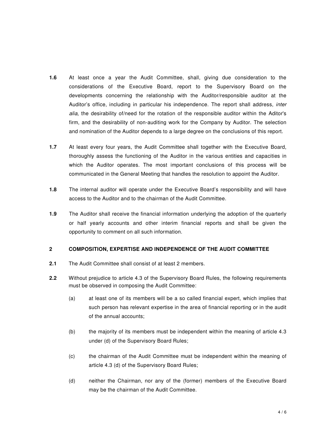- **1.6** At least once a year the Audit Committee, shall, giving due consideration to the considerations of the Executive Board, report to the Supervisory Board on the developments concerning the relationship with the Auditor/responsible auditor at the Auditor's office, including in particular his independence. The report shall address, inter alia, the desirability of/need for the rotation of the responsible auditor within the Aditor's firm, and the desirability of non-auditing work for the Company by Auditor. The selection and nomination of the Auditor depends to a large degree on the conclusions of this report.
- **1.7** At least every four years, the Audit Committee shall together with the Executive Board, thoroughly assess the functioning of the Auditor in the various entities and capacities in which the Auditor operates. The most important conclusions of this process will be communicated in the General Meeting that handles the resolution to appoint the Auditor.
- **1.8** The internal auditor will operate under the Executive Board's responsibility and will have access to the Auditor and to the chairman of the Audit Committee.
- **1.9** The Auditor shall receive the financial information underlying the adoption of the quarterly or half yearly accounts and other interim financial reports and shall be given the opportunity to comment on all such information.

#### **2 COMPOSITION, EXPERTISE AND INDEPENDENCE OF THE AUDIT COMMITTEE**

- **2.1** The Audit Committee shall consist of at least 2 members.
- **2.2** Without prejudice to article 4.3 of the Supervisory Board Rules, the following requirements must be observed in composing the Audit Committee:
	- (a) at least one of its members will be a so called financial expert, which implies that such person has relevant expertise in the area of financial reporting or in the audit of the annual accounts;
	- (b) the majority of its members must be independent within the meaning of article 4.3 under (d) of the Supervisory Board Rules;
	- (c) the chairman of the Audit Committee must be independent within the meaning of article 4.3 (d) of the Supervisory Board Rules;
	- (d) neither the Chairman, nor any of the (former) members of the Executive Board may be the chairman of the Audit Committee.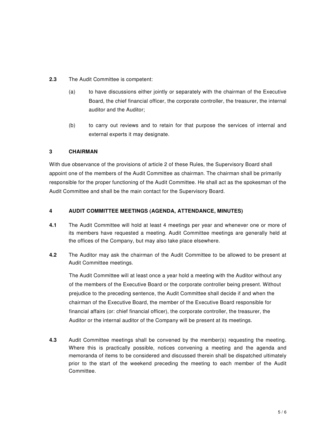- **2.3** The Audit Committee is competent:
	- (a) to have discussions either jointly or separately with the chairman of the Executive Board, the chief financial officer, the corporate controller, the treasurer, the internal auditor and the Auditor;
	- (b) to carry out reviews and to retain for that purpose the services of internal and external experts it may designate.

### **3 CHAIRMAN**

With due observance of the provisions of article 2 of these Rules, the Supervisory Board shall appoint one of the members of the Audit Committee as chairman. The chairman shall be primarily responsible for the proper functioning of the Audit Committee. He shall act as the spokesman of the Audit Committee and shall be the main contact for the Supervisory Board.

### **4 AUDIT COMMITTEE MEETINGS (AGENDA, ATTENDANCE, MINUTES)**

- **4.1** The Audit Committee will hold at least 4 meetings per year and whenever one or more of its members have requested a meeting. Audit Committee meetings are generally held at the offices of the Company, but may also take place elsewhere.
- **4.2** The Auditor may ask the chairman of the Audit Committee to be allowed to be present at Audit Committee meetings.

 The Audit Committee will at least once a year hold a meeting with the Auditor without any of the members of the Executive Board or the corporate controller being present. Without prejudice to the preceding sentence, the Audit Committee shall decide if and when the chairman of the Executive Board, the member of the Executive Board responsible for financial affairs (or: chief financial officer), the corporate controller, the treasurer, the Auditor or the internal auditor of the Company will be present at its meetings.

**4.3** Audit Committee meetings shall be convened by the member(s) requesting the meeting. Where this is practically possible, notices convening a meeting and the agenda and memoranda of items to be considered and discussed therein shall be dispatched ultimately prior to the start of the weekend preceding the meeting to each member of the Audit **Committee**